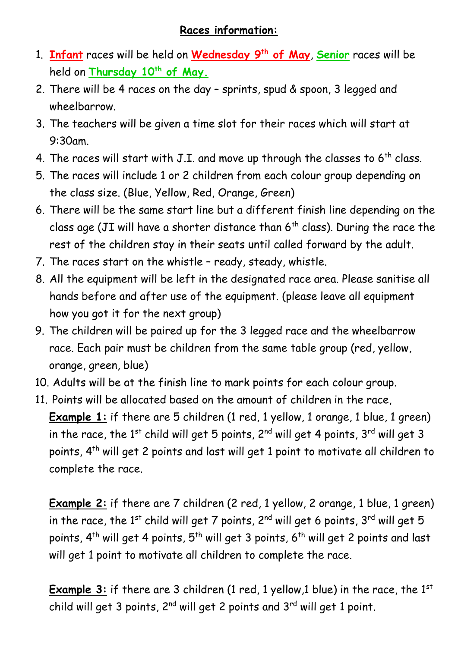## **Races information:**

- 1. **Infant** races will be held on **Wednesday 9th of May**, **Senior** races will be held on **Thursday 10th of May.**
- 2. There will be 4 races on the day sprints, spud & spoon, 3 legged and wheelbarrow.
- 3. The teachers will be given a time slot for their races which will start at 9:30am.
- 4. The races will start with J.I. and move up through the classes to  $6<sup>th</sup>$  class.
- 5. The races will include 1 or 2 children from each colour group depending on the class size. (Blue, Yellow, Red, Orange, Green)
- 6. There will be the same start line but a different finish line depending on the class age (JI will have a shorter distance than  $6<sup>th</sup>$  class). During the race the rest of the children stay in their seats until called forward by the adult.
- 7. The races start on the whistle ready, steady, whistle.
- 8. All the equipment will be left in the designated race area. Please sanitise all hands before and after use of the equipment. (please leave all equipment how you got it for the next group)
- 9. The children will be paired up for the 3 legged race and the wheelbarrow race. Each pair must be children from the same table group (red, yellow, orange, green, blue)
- 10. Adults will be at the finish line to mark points for each colour group.
- 11. Points will be allocated based on the amount of children in the race, **Example** 1: if there are 5 children (1 red, 1 yellow, 1 orange, 1 blue, 1 green) in the race, the  $1<sup>st</sup>$  child will get 5 points,  $2<sup>nd</sup>$  will get 4 points,  $3<sup>rd</sup>$  will get 3 points, 4th will get 2 points and last will get 1 point to motivate all children to complete the race.

**Example 2:** if there are 7 children (2 red, 1 yellow, 2 orange, 1 blue, 1 green) in the race, the  $1^{st}$  child will get 7 points,  $2^{nd}$  will get 6 points,  $3^{rd}$  will get 5 points, 4<sup>th</sup> will get 4 points, 5<sup>th</sup> will get 3 points, 6<sup>th</sup> will get 2 points and last will get 1 point to motivate all children to complete the race.

**Example 3:** if there are 3 children (1 red, 1 yellow,1 blue) in the race, the 1<sup>st</sup> child will get 3 points,  $2^{nd}$  will get 2 points and  $3^{rd}$  will get 1 point.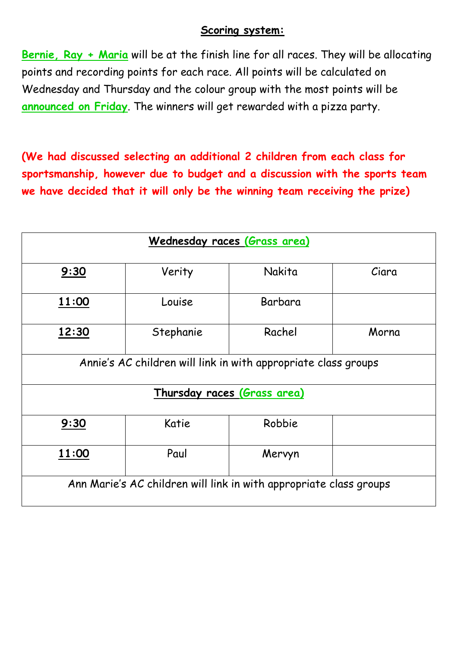## **Scoring system:**

**Bernie, Ray + Maria** will be at the finish line for all races. They will be allocating points and recording points for each race. All points will be calculated on Wednesday and Thursday and the colour group with the most points will be **announced on Friday**. The winners will get rewarded with a pizza party.

**(We had discussed selecting an additional 2 children from each class for sportsmanship, however due to budget and a discussion with the sports team we have decided that it will only be the winning team receiving the prize)**

| Wednesday races (Grass area)                                       |           |         |       |  |  |
|--------------------------------------------------------------------|-----------|---------|-------|--|--|
| 9:30                                                               | Verity    | Nakita  | Ciara |  |  |
| 11:00                                                              | Louise    | Barbara |       |  |  |
| 12:30                                                              | Stephanie | Rachel  | Morna |  |  |
| Annie's AC children will link in with appropriate class groups     |           |         |       |  |  |
| Thursday races (Grass area)                                        |           |         |       |  |  |
| 9:30                                                               | Katie     | Robbie  |       |  |  |
| 11:00                                                              | Paul      | Mervyn  |       |  |  |
| Ann Marie's AC children will link in with appropriate class groups |           |         |       |  |  |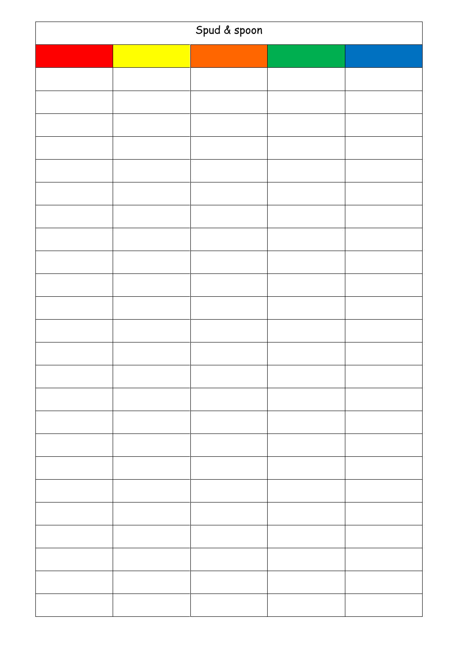| Spud & spoon |  |  |  |  |
|--------------|--|--|--|--|
|              |  |  |  |  |
|              |  |  |  |  |
|              |  |  |  |  |
|              |  |  |  |  |
|              |  |  |  |  |
|              |  |  |  |  |
|              |  |  |  |  |
|              |  |  |  |  |
|              |  |  |  |  |
|              |  |  |  |  |
|              |  |  |  |  |
|              |  |  |  |  |
|              |  |  |  |  |
|              |  |  |  |  |
|              |  |  |  |  |
|              |  |  |  |  |
|              |  |  |  |  |
|              |  |  |  |  |
|              |  |  |  |  |
|              |  |  |  |  |
|              |  |  |  |  |
|              |  |  |  |  |
|              |  |  |  |  |
|              |  |  |  |  |
|              |  |  |  |  |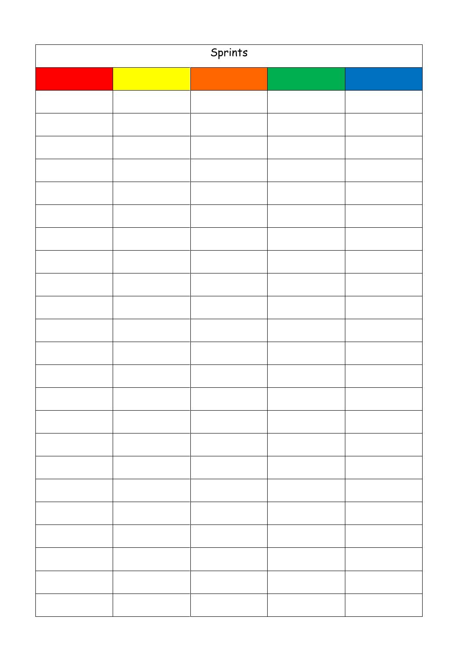| Sprints |  |  |  |  |
|---------|--|--|--|--|
|         |  |  |  |  |
|         |  |  |  |  |
|         |  |  |  |  |
|         |  |  |  |  |
|         |  |  |  |  |
|         |  |  |  |  |
|         |  |  |  |  |
|         |  |  |  |  |
|         |  |  |  |  |
|         |  |  |  |  |
|         |  |  |  |  |
|         |  |  |  |  |
|         |  |  |  |  |
|         |  |  |  |  |
|         |  |  |  |  |
|         |  |  |  |  |
|         |  |  |  |  |
|         |  |  |  |  |
|         |  |  |  |  |
|         |  |  |  |  |
|         |  |  |  |  |
|         |  |  |  |  |
|         |  |  |  |  |
|         |  |  |  |  |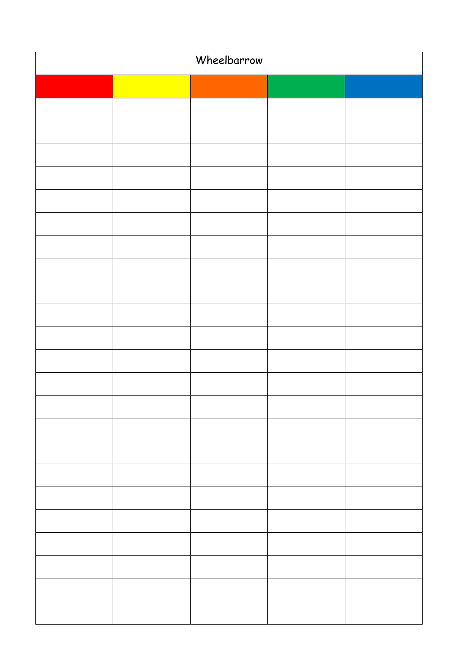| Wheelbarrow |  |  |  |  |
|-------------|--|--|--|--|
|             |  |  |  |  |
|             |  |  |  |  |
|             |  |  |  |  |
|             |  |  |  |  |
|             |  |  |  |  |
|             |  |  |  |  |
|             |  |  |  |  |
|             |  |  |  |  |
|             |  |  |  |  |
|             |  |  |  |  |
|             |  |  |  |  |
|             |  |  |  |  |
|             |  |  |  |  |
|             |  |  |  |  |
|             |  |  |  |  |
|             |  |  |  |  |
|             |  |  |  |  |
|             |  |  |  |  |
|             |  |  |  |  |
|             |  |  |  |  |
|             |  |  |  |  |
|             |  |  |  |  |
|             |  |  |  |  |
|             |  |  |  |  |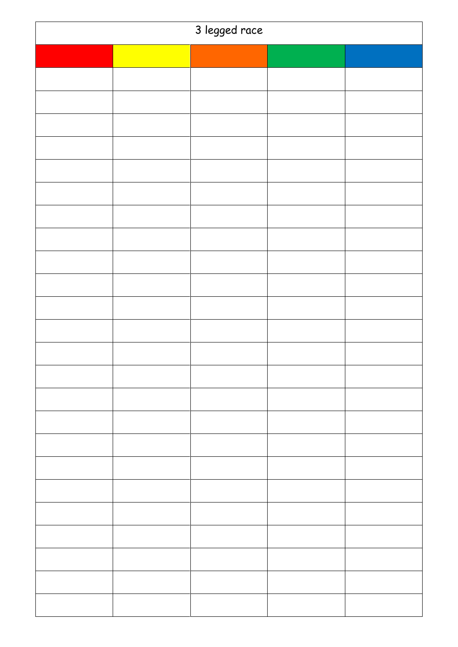| 3 legged race |  |  |  |  |
|---------------|--|--|--|--|
|               |  |  |  |  |
|               |  |  |  |  |
|               |  |  |  |  |
|               |  |  |  |  |
|               |  |  |  |  |
|               |  |  |  |  |
|               |  |  |  |  |
|               |  |  |  |  |
|               |  |  |  |  |
|               |  |  |  |  |
|               |  |  |  |  |
|               |  |  |  |  |
|               |  |  |  |  |
|               |  |  |  |  |
|               |  |  |  |  |
|               |  |  |  |  |
|               |  |  |  |  |
|               |  |  |  |  |
|               |  |  |  |  |
|               |  |  |  |  |
|               |  |  |  |  |
|               |  |  |  |  |
|               |  |  |  |  |
|               |  |  |  |  |
|               |  |  |  |  |